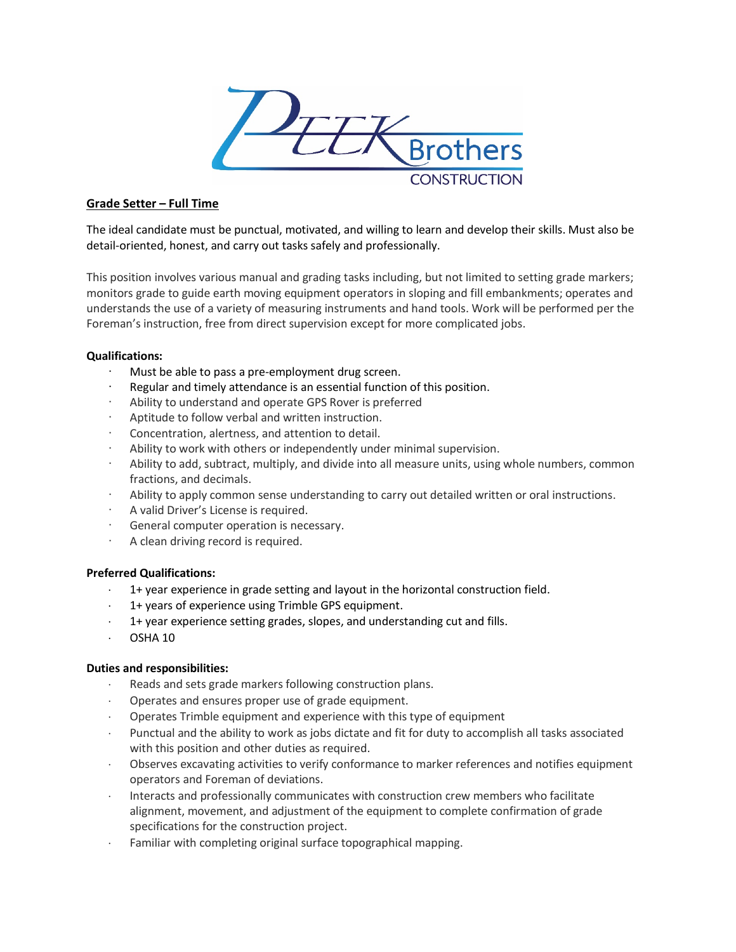

# **Grade Setter – Full Time**

The ideal candidate must be punctual, motivated, and willing to learn and develop their skills. Must also be detail-oriented, honest, and carry out tasks safely and professionally.

This position involves various manual and grading tasks including, but not limited to setting grade markers; monitors grade to guide earth moving equipment operators in sloping and fill embankments; operates and understands the use of a variety of measuring instruments and hand tools. Work will be performed per the Foreman's instruction, free from direct supervision except for more complicated jobs.

# **Qualifications:**

- Must be able to pass a pre-employment drug screen.
- Regular and timely attendance is an essential function of this position.
- Ability to understand and operate GPS Rover is preferred
- Aptitude to follow verbal and written instruction.
- Concentration, alertness, and attention to detail.
- Ability to work with others or independently under minimal supervision.
- · Ability to add, subtract, multiply, and divide into all measure units, using whole numbers, common fractions, and decimals.
- · Ability to apply common sense understanding to carry out detailed written or oral instructions.
- · A valid Driver's License is required.
- General computer operation is necessary.
- A clean driving record is required.

### **Preferred Qualifications:**

- 1+ year experience in grade setting and layout in the horizontal construction field.
- 1+ years of experience using Trimble GPS equipment.
- 1+ year experience setting grades, slopes, and understanding cut and fills.
- ⋅ OSHA 10

### **Duties and responsibilities:**

- Reads and sets grade markers following construction plans.
- ⋅ Operates and ensures proper use of grade equipment.
- Operates Trimble equipment and experience with this type of equipment
- ⋅ Punctual and the ability to work as jobs dictate and fit for duty to accomplish all tasks associated with this position and other duties as required.
- ⋅ Observes excavating activities to verify conformance to marker references and notifies equipment operators and Foreman of deviations.
- ⋅ Interacts and professionally communicates with construction crew members who facilitate alignment, movement, and adjustment of the equipment to complete confirmation of grade specifications for the construction project.
- Familiar with completing original surface topographical mapping.